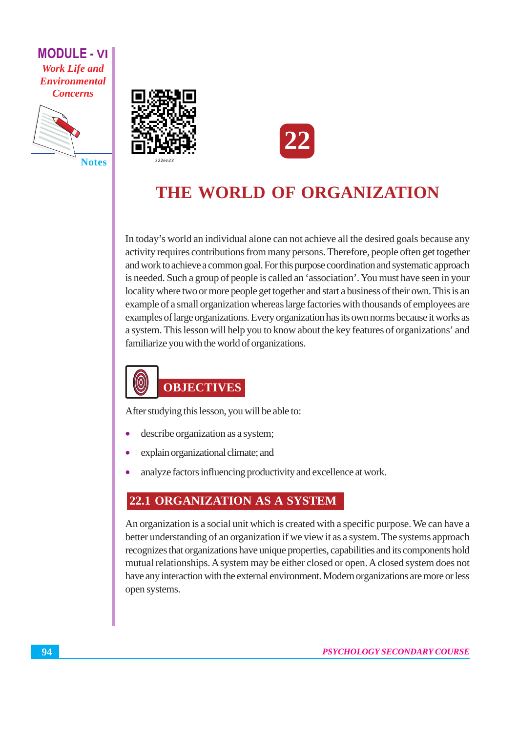

**Notes** 





## **THE WORLD OF ORGANIZATION**

In today's world an individual alone can not achieve all the desired goals because any activity requires contributions from many persons. Therefore, people often get together and work to achieve a common goal. For this purpose coordination and systematic approach is needed. Such a group of people is called an 'association'. You must have seen in your locality where two or more people get together and start a business of their own. This is an example of a small organization whereas large factories with thousands of employees are examples of large organizations. Every organization has its own norms because it works as a system. This lesson will help you to know about the key features of organizations' and familiarize you with the world of organizations.

## $\bm{\left( 0\right) }$ **OBJECTIVES**

After studying this lesson, you will be able to:

- describe organization as a system;
- explain organizational climate; and
- analyze factors influencing productivity and excellence at work.

## 22.1 ORGANIZATION AS A SYSTEM

An organization is a social unit which is created with a specific purpose. We can have a better understanding of an organization if we view it as a system. The systems approach recognizes that organizations have unique properties, capabilities and its components hold mutual relationships. A system may be either closed or open. A closed system does not have any interaction with the external environment. Modern organizations are more or less open systems.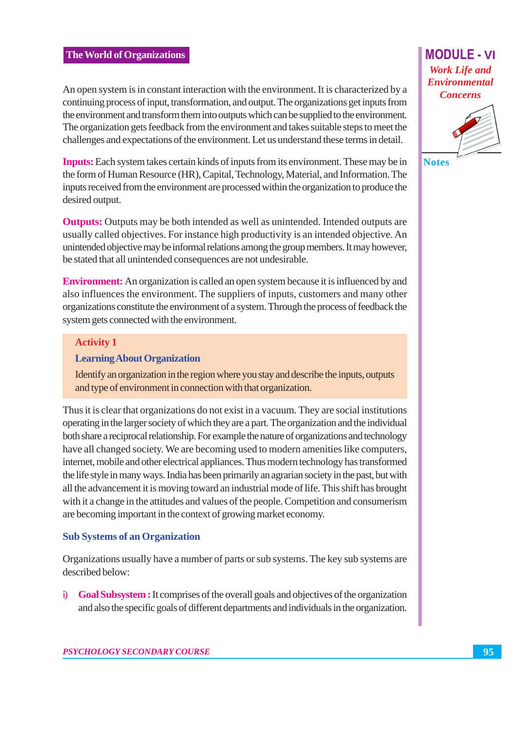An open system is in constant interaction with the environment. It is characterized by a continuing process of input, transformation, and output. The organizations get inputs from the environment and transform them into outputs which can be supplied to the environment. The organization gets feedback from the environment and takes suitable steps to meet the challenges and expectations of the environment. Let us understand these terms in detail.

**Inputs:** Each system takes certain kinds of inputs from its environment. These may be in the form of Human Resource (HR), Capital, Technology, Material, and Information. The inputs received from the environment are processed within the organization to produce the desired output.

**Outputs:** Outputs may be both intended as well as unintended. Intended outputs are usually called objectives. For instance high productivity is an intended objective. An unintended objective may be informal relations among the group members. It may however, be stated that all unintended consequences are not undesirable.

**Environment:** An organization is called an open system because it is influenced by and also influences the environment. The suppliers of inputs, customers and many other organizations constitute the environment of a system. Through the process of feedback the system gets connected with the environment.

#### **Activity 1**

#### **Learning About Organization**

Identify an organization in the region where you stay and describe the inputs, outputs and type of environment in connection with that organization.

Thus it is clear that organizations do not exist in a vacuum. They are social institutions operating in the larger society of which they are a part. The organization and the individual both share a reciprocal relationship. For example the nature of organizations and technology have all changed society. We are becoming used to modern amenities like computers, internet, mobile and other electrical appliances. Thus modern technology has transformed the life style in many ways. India has been primarily an agrarian society in the past, but with all the advancement it is moving toward an industrial mode of life. This shift has brought with it a change in the attitudes and values of the people. Competition and consumerism are becoming important in the context of growing market economy.

#### **Sub Systems of an Organization**

Organizations usually have a number of parts or sub systems. The key sub systems are described below:

**Goal Subsystem :** It comprises of the overall goals and objectives of the organization  $\ddot{\mathbf{n}}$ and also the specific goals of different departments and individuals in the organization.

## **MODULE - VI Work Life and Environmental Concerns**

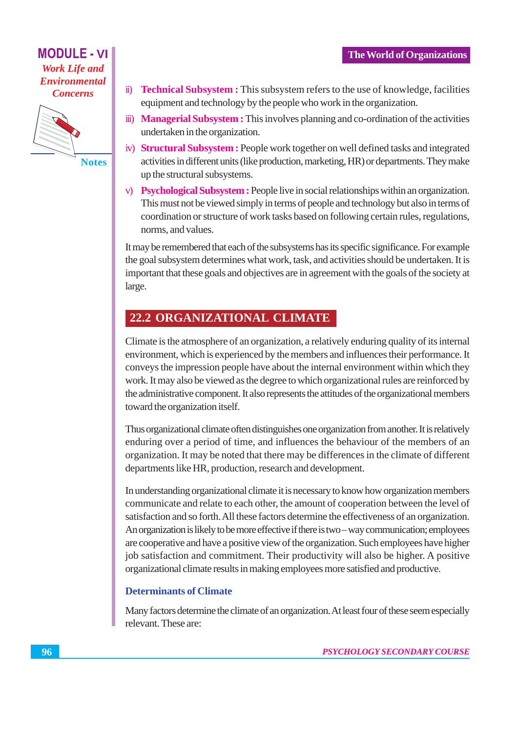

**Notes** 

- **Technical Subsystem:** This subsystem refers to the use of knowledge, facilities  $\ddot{\mathbf{n}}$ equipment and technology by the people who work in the organization.
- iii) **Managerial Subsystem**: This involves planning and co-ordination of the activities undertaken in the organization.
- iv) Structural Subsystem: People work together on well defined tasks and integrated activities in different units (like production, marketing, HR) or departments. They make up the structural subsystems.
- v) Psychological Subsystem: People live in social relationships within an organization. This must not be viewed simply in terms of people and technology but also in terms of coordination or structure of work tasks based on following certain rules, regulations, norms, and values.

It may be remembered that each of the subsystems has its specific significance. For example the goal subsystem determines what work, task, and activities should be undertaken. It is important that these goals and objectives are in agreement with the goals of the society at large.

## 22.2 ORGANIZATIONAL CLIMATE

Climate is the atmosphere of an organization, a relatively enduring quality of its internal environment, which is experienced by the members and influences their performance. It conveys the impression people have about the internal environment within which they work. It may also be viewed as the degree to which organizational rules are reinforced by the administrative component. It also represents the attitudes of the organizational members toward the organization itself.

Thus organizational climate often distinguishes one organization from another. It is relatively enduring over a period of time, and influences the behaviour of the members of an organization. It may be noted that there may be differences in the climate of different departments like HR, production, research and development.

In understanding organizational climate it is necessary to know how organization members communicate and relate to each other, the amount of cooperation between the level of satisfaction and so forth. All these factors determine the effectiveness of an organization. An organization is likely to be more effective if there is two – way communication; employees are cooperative and have a positive view of the organization. Such employees have higher job satisfaction and commitment. Their productivity will also be higher. A positive organizational climate results in making employees more satisfied and productive.

## **Determinants of Climate**

Many factors determine the climate of an organization. At least four of these seem especially relevant. These are: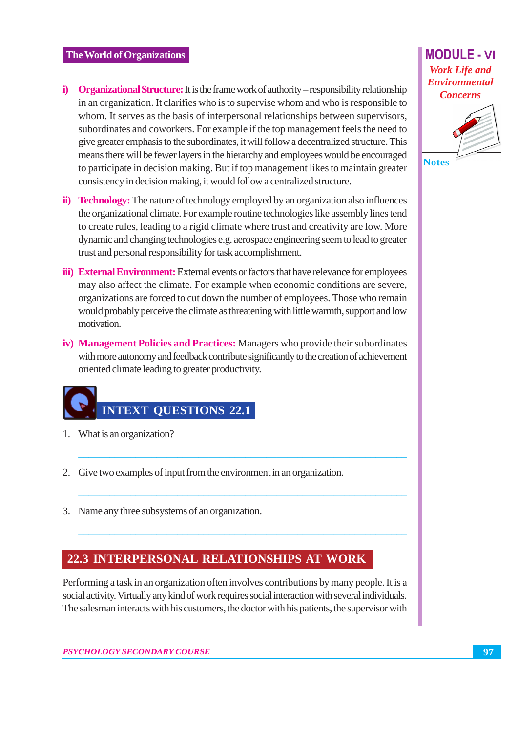#### **The World of Organizations**

- i) Organizational Structure: It is the frame work of authority responsibility relationship in an organization. It clarifies who is to supervise whom and who is responsible to whom. It serves as the basis of interpersonal relationships between supervisors, subordinates and coworkers. For example if the top management feels the need to give greater emphasis to the subordinates, it will follow a decentralized structure. This means there will be fewer layers in the hierarchy and employees would be encouraged to participate in decision making. But if top management likes to maintain greater consistency in decision making, it would follow a centralized structure.
- ii) Technology: The nature of technology employed by an organization also influences the organizational climate. For example routine technologies like assembly lines tend to create rules, leading to a rigid climate where trust and creativity are low. More dynamic and changing technologies e.g. aerospace engineering seem to lead to greater trust and personal responsibility for task accomplishment.
- **iii)** External Environment: External events or factors that have relevance for employees may also affect the climate. For example when economic conditions are severe, organizations are forced to cut down the number of employees. Those who remain would probably perceive the climate as threatening with little warmth, support and low motivation.
- iv) Management Policies and Practices: Managers who provide their subordinates with more autonomy and feedback contribute significantly to the creation of achievement oriented climate leading to greater productivity.



- 1. What is an organization?
- 2. Give two examples of input from the environment in an organization.
- 3. Name any three subsystems of an organization.

## 22.3 INTERPERSONAL RELATIONSHIPS AT WORK

Performing a task in an organization often involves contributions by many people. It is a social activity. Virtually any kind of work requires social interaction with several individuals. The salesman interacts with his customers, the doctor with his patients, the supervisor with

## **MODULE - VI Work Life and Environmental Concerns**

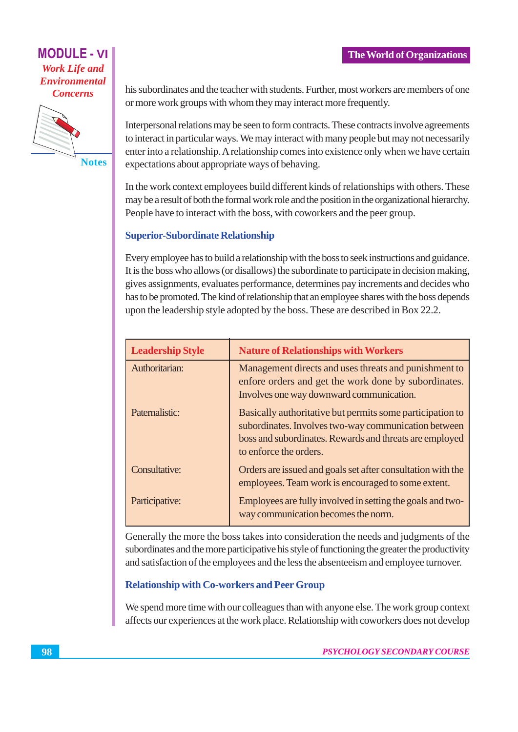#### **The World of Organizations**

## **MODULE - VI Work Life and Environmental Concerns**



**Notes** 

his subordinates and the teacher with students. Further, most workers are members of one or more work groups with whom they may interact more frequently.

Interpersonal relations may be seen to form contracts. These contracts involve agreements to interact in particular ways. We may interact with many people but may not necessarily enter into a relationship. A relationship comes into existence only when we have certain expectations about appropriate ways of behaving.

In the work context employees build different kinds of relationships with others. These may be a result of both the formal work role and the position in the organizational hierarchy. People have to interact with the boss, with coworkers and the peer group.

#### **Superior-Subordinate Relationship**

Every employee has to build a relationship with the boss to seek instructions and guidance. It is the boss who allows (or disallows) the subordinate to participate in decision making, gives assignments, evaluates performance, determines pay increments and decides who has to be promoted. The kind of relationship that an employee shares with the boss depends upon the leadership style adopted by the boss. These are described in Box 22.2.

| <b>Leadership Style</b> | <b>Nature of Relationships with Workers</b>                                                                                                                                                            |
|-------------------------|--------------------------------------------------------------------------------------------------------------------------------------------------------------------------------------------------------|
| Authoritarian:          | Management directs and uses threats and punishment to<br>enfore orders and get the work done by subordinates.<br>Involves one way downward communication.                                              |
| Paternalistic:          | Basically authoritative but permits some participation to<br>subordinates. Involves two-way communication between<br>boss and subordinates. Rewards and threats are employed<br>to enforce the orders. |
| Consultative:           | Orders are issued and goals set after consultation with the<br>employees. Team work is encouraged to some extent.                                                                                      |
| Participative:          | Employees are fully involved in setting the goals and two-<br>way communication becomes the norm.                                                                                                      |

Generally the more the boss takes into consideration the needs and judgments of the subordinates and the more participative his style of functioning the greater the productivity and satisfaction of the employees and the less the absenteeism and employee turnover.

#### **Relationship with Co-workers and Peer Group**

We spend more time with our colleagues than with anyone else. The work group context affects our experiences at the work place. Relationship with coworkers does not develop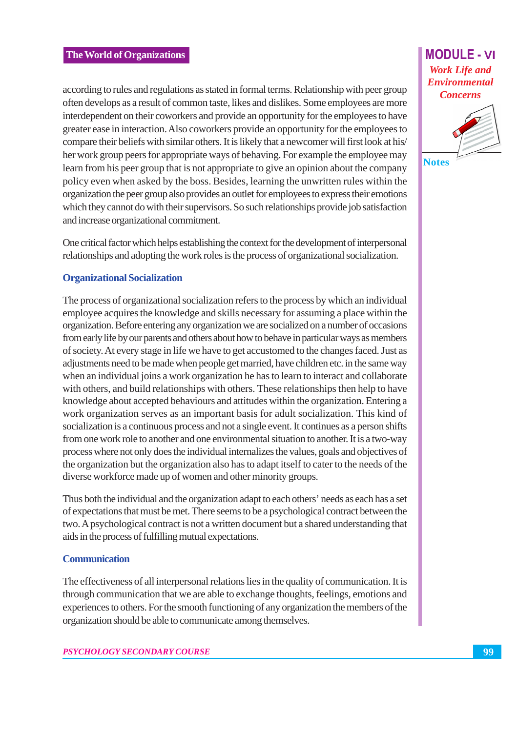according to rules and regulations as stated in formal terms. Relationship with peer group often develops as a result of common taste, likes and dislikes. Some employees are more interdependent on their coworkers and provide an opportunity for the employees to have greater ease in interaction. Also coworkers provide an opportunity for the employees to compare their beliefs with similar others. It is likely that a newcomer will first look at his/ her work group peers for appropriate ways of behaving. For example the employee may learn from his peer group that is not appropriate to give an opinion about the company policy even when asked by the boss. Besides, learning the unwritten rules within the organization the peer group also provides an outlet for employees to express their emotions which they cannot do with their supervisors. So such relationships provide job satisfaction and increase organizational commitment.

One critical factor which helps establishing the context for the development of interpersonal relationships and adopting the work roles is the process of organizational socialization.

#### **Organizational Socialization**

The process of organizational socialization refers to the process by which an individual employee acquires the knowledge and skills necessary for assuming a place within the organization. Before entering any organization we are socialized on a number of occasions from early life by our parents and others about how to behave in particular ways as members of society. At every stage in life we have to get accustomed to the changes faced. Just as adjustments need to be made when people get married, have children etc. in the same way when an individual joins a work organization he has to learn to interact and collaborate with others, and build relationships with others. These relationships then help to have knowledge about accepted behaviours and attitudes within the organization. Entering a work organization serves as an important basis for adult socialization. This kind of socialization is a continuous process and not a single event. It continues as a person shifts from one work role to another and one environmental situation to another. It is a two-way process where not only does the individual internalizes the values, goals and objectives of the organization but the organization also has to adapt itself to cater to the needs of the diverse workforce made up of women and other minority groups.

Thus both the individual and the organization adapt to each others' needs as each has a set of expectations that must be met. There seems to be a psychological contract between the two. A psychological contract is not a written document but a shared understanding that aids in the process of fulfilling mutual expectations.

#### **Communication**

The effectiveness of all interpersonal relations lies in the quality of communication. It is through communication that we are able to exchange thoughts, feelings, emotions and experiences to others. For the smooth functioning of any organization the members of the organization should be able to communicate among themselves.

## **MODULE - VI Work Life and Environmental Concerns**



99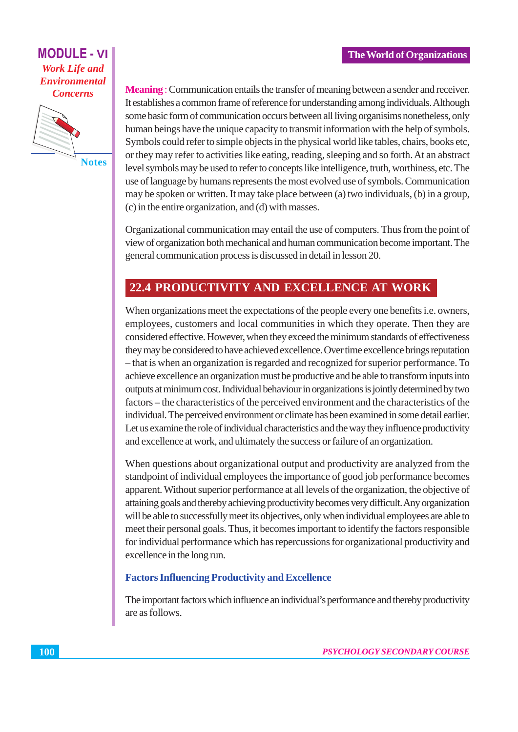

**Notes** 

Meaning: Communication entails the transfer of meaning between a sender and receiver. It establishes a common frame of reference for understanding among individuals. Although some basic form of communication occurs between all living organisims nonetheless, only human beings have the unique capacity to transmit information with the help of symbols. Symbols could refer to simple objects in the physical world like tables, chairs, books etc, or they may refer to activities like eating, reading, sleeping and so forth. At an abstract level symbols may be used to refer to concepts like intelligence, truth, worthiness, etc. The use of language by humans represents the most evolved use of symbols. Communication may be spoken or written. It may take place between (a) two individuals, (b) in a group, (c) in the entire organization, and (d) with masses.

Organizational communication may entail the use of computers. Thus from the point of view of organization both mechanical and human communication become important. The general communication process is discussed in detail in lesson 20.

## 22.4 PRODUCTIVITY AND EXCELLENCE AT WORK

When organizations meet the expectations of the people every one benefits i.e. owners, employees, customers and local communities in which they operate. Then they are considered effective. However, when they exceed the minimum standards of effectiveness they may be considered to have achieved excellence. Over time excellence brings reputation - that is when an organization is regarded and recognized for superior performance. To achieve excellence an organization must be productive and be able to transform inputs into outputs at minimum cost. Individual behaviour in organizations is jointly determined by two factors – the characteristics of the perceived environment and the characteristics of the individual. The perceived environment or climate has been examined in some detail earlier. Let us examine the role of individual characteristics and the way they influence productivity and excellence at work, and ultimately the success or failure of an organization.

When questions about organizational output and productivity are analyzed from the standpoint of individual employees the importance of good job performance becomes apparent. Without superior performance at all levels of the organization, the objective of attaining goals and thereby achieving productivity becomes very difficult. Any organization will be able to successfully meet its objectives, only when individual employees are able to meet their personal goals. Thus, it becomes important to identify the factors responsible for individual performance which has repercussions for organizational productivity and excellence in the long run.

#### **Factors Influencing Productivity and Excellence**

The important factors which influence an individual's performance and thereby productivity are as follows.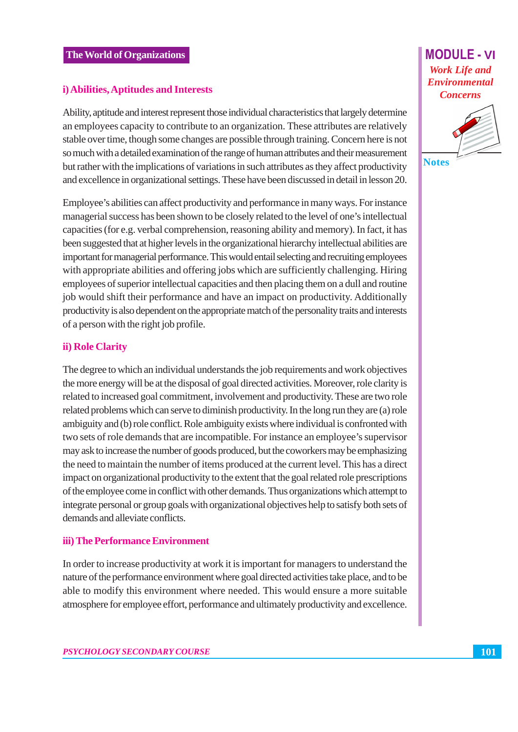#### i) Abilities, Aptitudes and Interests

Ability, aptitude and interest represent those individual characteristics that largely determine an employees capacity to contribute to an organization. These attributes are relatively stable over time, though some changes are possible through training. Concern here is not so much with a detailed examination of the range of human attributes and their measurement but rather with the implications of variations in such attributes as they affect productivity and excellence in organizational settings. These have been discussed in detail in lesson 20.

Employee's abilities can affect productivity and performance in many ways. For instance managerial success has been shown to be closely related to the level of one's intellectual capacities (for e.g. verbal comprehension, reasoning ability and memory). In fact, it has been suggested that at higher levels in the organizational hierarchy intellectual abilities are important for managerial performance. This would entail selecting and recruiting employees with appropriate abilities and offering jobs which are sufficiently challenging. Hiring employees of superior intellectual capacities and then placing them on a dull and routine job would shift their performance and have an impact on productivity. Additionally productivity is also dependent on the appropriate match of the personality traits and interests of a person with the right job profile.

#### ii) Role Clarity

The degree to which an individual understands the job requirements and work objectives the more energy will be at the disposal of goal directed activities. Moreover, role clarity is related to increased goal commitment, involvement and productivity. These are two role related problems which can serve to diminish productivity. In the long run they are (a) role ambiguity and (b) role conflict. Role ambiguity exists where individual is confronted with two sets of role demands that are incompatible. For instance an employee's supervisor may ask to increase the number of goods produced, but the coworkers may be emphasizing the need to maintain the number of items produced at the current level. This has a direct impact on organizational productivity to the extent that the goal related role prescriptions of the employee come in conflict with other demands. Thus organizations which attempt to integrate personal or group goals with organizational objectives help to satisfy both sets of demands and alleviate conflicts.

#### **iii)** The Performance Environment

In order to increase productivity at work it is important for managers to understand the nature of the performance environment where goal directed activities take place, and to be able to modify this environment where needed. This would ensure a more suitable atmosphere for employee effort, performance and ultimately productivity and excellence.

## **MODULE - VI Work Life and Environmental Concerns**



**Notes**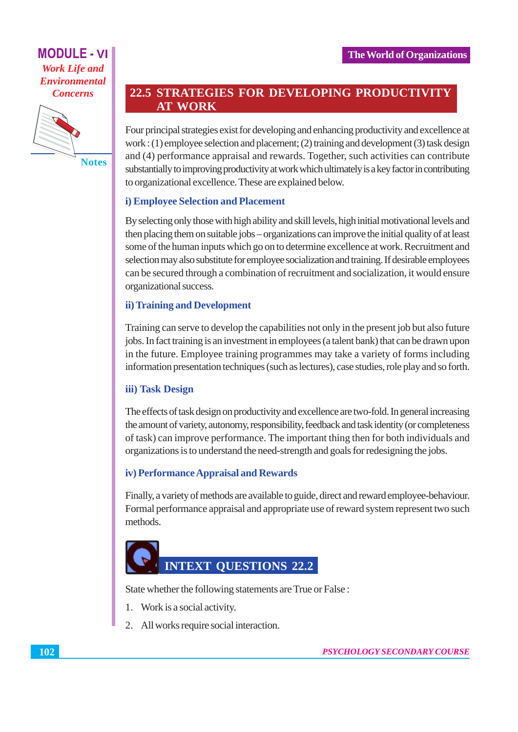

**Notes** 

## **22.5 STRATEGIES FOR DEVELOPING PRODUCTIVITY AT WORK**

Four principal strategies exist for developing and enhancing productivity and excellence at work : (1) employee selection and placement; (2) training and development (3) task design and (4) performance appraisal and rewards. Together, such activities can contribute substantially to improving productivity at work which ultimately is a key factor in contributing to organizational excellence. These are explained below.

#### i) Employee Selection and Placement

By selecting only those with high ability and skill levels, high initial motivational levels and then placing them on suitable jobs – organizations can improve the initial quality of at least some of the human inputs which go on to determine excellence at work. Recruitment and selection may also substitute for employee socialization and training. If desirable employees can be secured through a combination of recruitment and socialization, it would ensure organizational success.

#### ii) Training and Development

Training can serve to develop the capabilities not only in the present job but also future jobs. In fact training is an investment in employees (a talent bank) that can be drawn upon in the future. Employee training programmes may take a variety of forms including information presentation techniques (such as lectures), case studies, role play and so forth.

#### iii) Task Design

The effects of task design on productivity and excellence are two-fold. In general increasing the amount of variety, autonomy, responsibility, feedback and task identity (or completeness of task) can improve performance. The important thing then for both individuals and organizations is to understand the need-strength and goals for redesigning the jobs.

#### iv) Performance Appraisal and Rewards

Finally, a variety of methods are available to guide, direct and reward employee-behaviour. Formal performance appraisal and appropriate use of reward system represent two such methods.



State whether the following statements are True or False :

- 1. Work is a social activity.
- 2. All works require social interaction.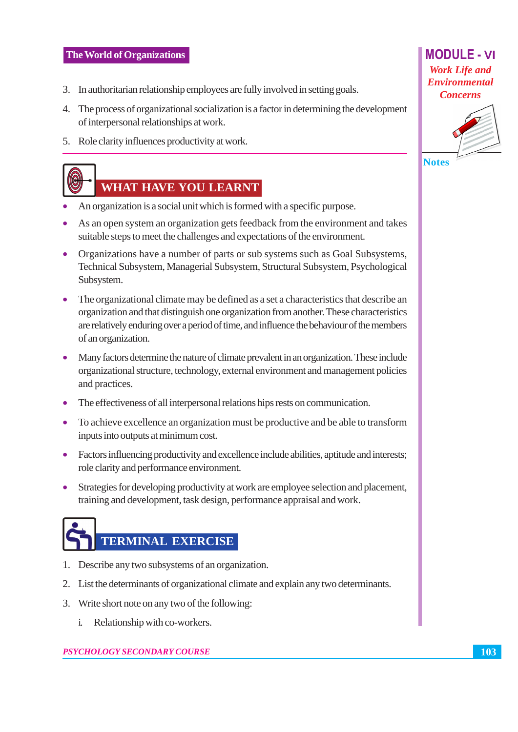#### **The World of Organizations**

- 3. In authoritarian relationship employees are fully involved in setting goals.
- 4. The process of organizational socialization is a factor in determining the development of interpersonal relationships at work.
- 5. Role clarity influences productivity at work.



- An organization is a social unit which is formed with a specific purpose.
- As an open system an organization gets feedback from the environment and takes suitable steps to meet the challenges and expectations of the environment.
- Organizations have a number of parts or sub systems such as Goal Subsystems, Technical Subsystem, Managerial Subsystem, Structural Subsystem, Psychological Subsystem.
- The organizational climate may be defined as a set a characteristics that describe an organization and that distinguish one organization from another. These characteristics are relatively enduring over a period of time, and influence the behaviour of the members of an organization.
- Many factors determine the nature of climate prevalent in an organization. These include organizational structure, technology, external environment and management policies and practices.
- The effectiveness of all interpersonal relations hips rests on communication.
- To achieve excellence an organization must be productive and be able to transform inputs into outputs at minimum cost.
- Factors influencing productivity and excellence include abilities, aptitude and interests; role clarity and performance environment.
- Strategies for developing productivity at work are employee selection and placement,  $\bullet$ training and development, task design, performance appraisal and work.

# **TERMINAL EXERCISE**

- 1. Describe any two subsystems of an organization.
- 2. List the determinants of organizational climate and explain any two determinants.
- 3. Write short note on any two of the following:
	- $i -$ Relationship with co-workers.

#### PSYCHOLOGY SECONDARY COURSE

## **MODULE - VI Work Life and Environmental Concerns**



**Notes**